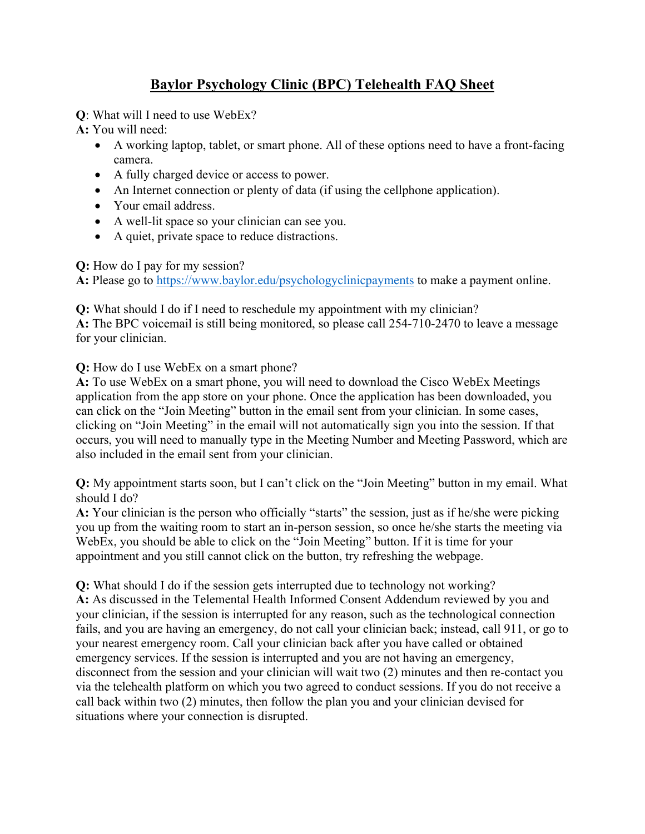## **Baylor Psychology Clinic (BPC) Telehealth FAQ Sheet**

**Q**: What will I need to use WebEx?

**A:** You will need:

- A working laptop, tablet, or smart phone. All of these options need to have a front-facing camera.
- A fully charged device or access to power.
- An Internet connection or plenty of data (if using the cellphone application).
- Your email address.
- A well-lit space so your clinician can see you.
- A quiet, private space to reduce distractions.

**Q:** How do I pay for my session?

**A:** Please go to https://www.baylor.edu/psychologyclinicpayments to make a payment online.

**Q:** What should I do if I need to reschedule my appointment with my clinician?

**A:** The BPC voicemail is still being monitored, so please call 254-710-2470 to leave a message for your clinician.

## **Q:** How do I use WebEx on a smart phone?

**A:** To use WebEx on a smart phone, you will need to download the Cisco WebEx Meetings application from the app store on your phone. Once the application has been downloaded, you can click on the "Join Meeting" button in the email sent from your clinician. In some cases, clicking on "Join Meeting" in the email will not automatically sign you into the session. If that occurs, you will need to manually type in the Meeting Number and Meeting Password, which are also included in the email sent from your clinician.

**Q:** My appointment starts soon, but I can't click on the "Join Meeting" button in my email. What should I do?

**A:** Your clinician is the person who officially "starts" the session, just as if he/she were picking you up from the waiting room to start an in-person session, so once he/she starts the meeting via WebEx, you should be able to click on the "Join Meeting" button. If it is time for your appointment and you still cannot click on the button, try refreshing the webpage.

**Q:** What should I do if the session gets interrupted due to technology not working? **A:** As discussed in the Telemental Health Informed Consent Addendum reviewed by you and your clinician, if the session is interrupted for any reason, such as the technological connection fails, and you are having an emergency, do not call your clinician back; instead, call 911, or go to your nearest emergency room. Call your clinician back after you have called or obtained emergency services. If the session is interrupted and you are not having an emergency, disconnect from the session and your clinician will wait two (2) minutes and then re-contact you via the telehealth platform on which you two agreed to conduct sessions. If you do not receive a call back within two (2) minutes, then follow the plan you and your clinician devised for situations where your connection is disrupted.